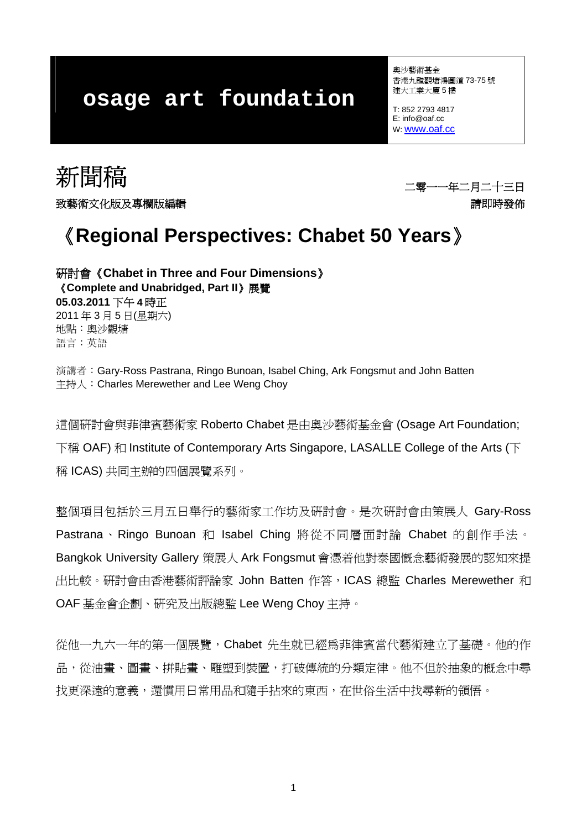# **osage art foundation**

奧沙藝術基金 香港九龍觀塘鴻圖道 73-75 號 建大工業大廈 5 樓

T: 852 2793 4817 E: info@oaf.cc W: [www.oaf.cc](http://www.oaf.cc/) 

新聞稿 二零一一年二月二十三日

致藝術文化版及專欄版編輯 きょうきょう しょうしゃ かいしゃ かいりょう かいこうしゅう きょうかい きょうかん きょうかん きょうかん きょうかん きょうかん きょうかん きょうかん かんきょう かいじょう

# 《**Regional Perspectives: Chabet 50 Years**》

研討會《**Chabet in Three and Four Dimensions**》 《**Complete and Unabridged, Part II**》展覽 **05.03.2011** 下午 **4** 時正 2011 年 3 月 5 日(星期六) 地點:奧沙觀塘 語言:英語

演講者:Gary-Ross Pastrana, Ringo Bunoan, Isabel Ching, Ark Fongsmut and John Batten 主持人:Charles Merewether and Lee Weng Choy

這個研討會與菲律賓藝術家 Roberto Chabet 是由奧沙藝術基金會 (Osage Art Foundation; 下稱 OAF) 和 Institute of Contemporary Arts Singapore, LASALLE College of the Arts (下 稱 ICAS) 共同主辦的四個展覽系列。

整個項目包括於三月五日舉行的藝術家工作坊及研討會。是次研討會由策展人 Gary-Ross Pastrana、Ringo Bunoan 和 Isabel Ching 將從不同層面討論 Chabet 的創作手法。 Bangkok University Gallery 策展人 Ark Fongsmut 會憑着他對泰國慨念藝術發展的認知來提 出比較。研討會由香港藝術評論家 John Batten 作答,ICAS 總監 Charles Merewether 和 OAF 基金會企劃、研究及出版總監 Lee Weng Choy 主持。

從他一九六一年的第一個展覽,Chabet 先生就已經為菲律賓當代藝術建立了基礎。他的作 品,從油書、圖書、拼貼書、雕塑到裝置,打破傳統的分類定律。他不但於抽象的概念中尋 找更深遠的意義,還慣用日常用品和隨手拈來的東西,在世俗生活中找尋新的領悟。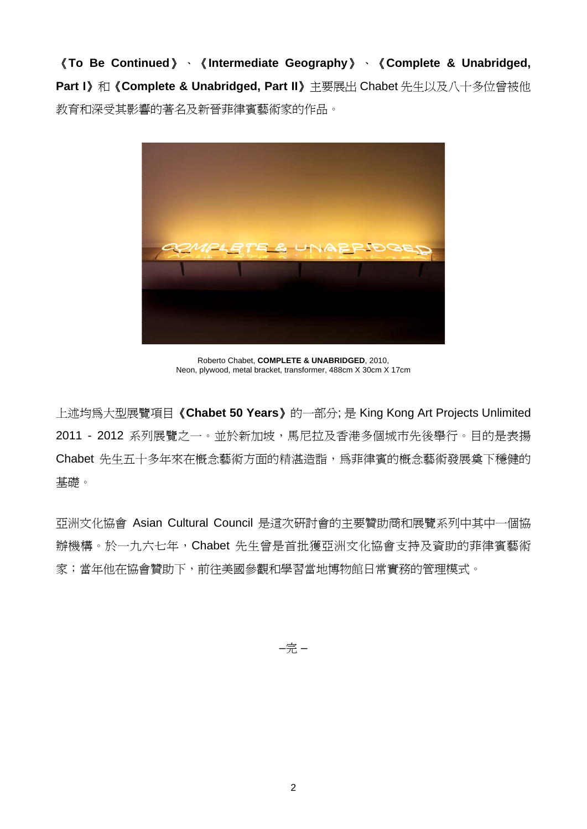《**To Be Continued**》、《**Intermediate Geography**》、《**Complete & Unabridged, Part I**》和《**Complete & Unabridged, Part II**》主要展出 Chabet 先生以及八十多位曾被他 教育和深受其影響的著名及新晉菲律賓藝術家的作品。



Roberto Chabet, **COMPLETE & UNABRIDGED**, 2010, Neon, plywood, metal bracket, transformer, 488cm X 30cm X 17cm

上述均為大型展覽項目《**Chabet 50 Years**》的一部分; 是 King Kong Art Projects Unlimited 2011 - 2012 系列展覽之一。並於新加坡,馬尼拉及香港多個城市先後舉行。目的是表揚 Chabet 先生五十多年來在概念藝術方面的精湛造詣,為菲律賓的概念藝術發展奠下穩健的 基礎。

亞洲文化協會 Asian Cultural Council 是這次研討會的主要贊助商和展覽系列中其中一個協 辦機構。於一九六七年,Chabet 先生曾是首批獲亞洲文化協會支持及資助的菲律賓藝術 家;當年他在協會贊助下,前往美國參觀和學習當地博物館日常實務的管理模式。

–完 –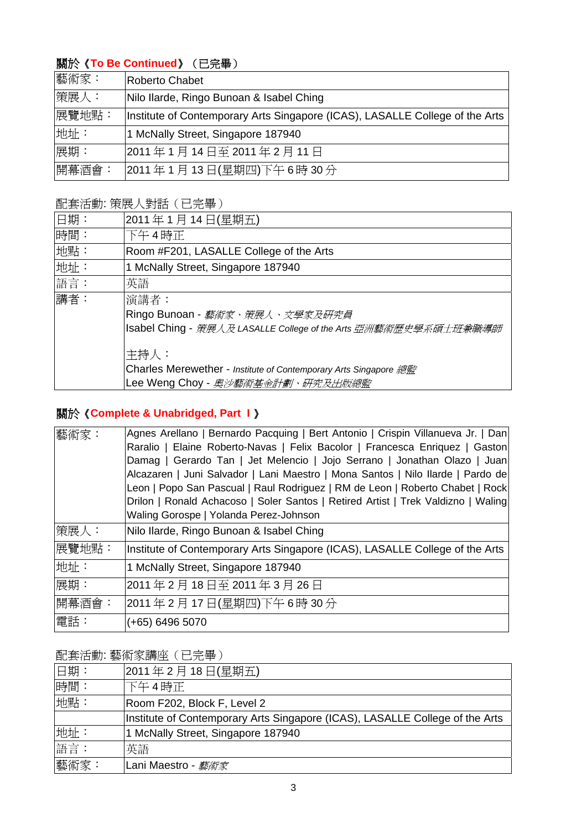# 關於《**To Be Continued**》(已完畢)

| 藝術家:  | Roberto Chabet                                                               |
|-------|------------------------------------------------------------------------------|
| 策展人:  | Nilo Ilarde, Ringo Bunoan & Isabel Ching                                     |
| 展覽地點: | Institute of Contemporary Arts Singapore (ICAS), LASALLE College of the Arts |
| 地址:   | 1 McNally Street, Singapore 187940                                           |
| 展期:   | 2011年1月14日至2011年2月11日                                                        |
| 開幕酒會: | 2011年1月13日(星期四)下午6時30分                                                       |

### 配套活動: 策展人對話(已完畢)

| 日期: | 2011年1月14日(星期五)                                                        |
|-----|------------------------------------------------------------------------|
| 時間: | 下午4時正                                                                  |
| 地點: | Room #F201, LASALLE College of the Arts                                |
| 地址: | 1 McNally Street, Singapore 187940                                     |
| 語言: | 英語                                                                     |
| 講者: | 演講者:                                                                   |
|     | Ringo Bunoan - <i>藝術家、策展人、文學家及研究員</i>                                  |
|     | <b>Isabel Ching</b> - 策展人及 LASALLE College of the Arts 亞洲藝術歷史學系碩士班兼職導師 |
|     | 主持人:                                                                   |
|     | Charles Merewether - Institute of Contemporary Arts Singapore 總監       |
|     | Lee Weng Choy - 奧沙藝術基金計劃、研究及出版總監                                       |
|     |                                                                        |

# 關於《**Complete & Unabridged, Part I** 》

| 藝術家:  | Agnes Arellano   Bernardo Pacquing   Bert Antonio   Crispin Villanueva Jr.   Dan  |
|-------|-----------------------------------------------------------------------------------|
|       | Raralio   Elaine Roberto-Navas   Felix Bacolor   Francesca Enriquez   Gaston      |
|       | Damag   Gerardo Tan   Jet Melencio   Jojo Serrano   Jonathan Olazo   Juan         |
|       | Alcazaren   Juni Salvador   Lani Maestro   Mona Santos   Nilo Ilarde   Pardo de   |
|       | Leon   Popo San Pascual   Raul Rodriguez   RM de Leon   Roberto Chabet   Rock     |
|       | Drilon   Ronald Achacoso   Soler Santos   Retired Artist   Trek Valdizno   Waling |
|       | Waling Gorospe   Yolanda Perez-Johnson                                            |
| 策展人:  | Nilo Ilarde, Ringo Bunoan & Isabel Ching                                          |
| 展覽地點: | Institute of Contemporary Arts Singapore (ICAS), LASALLE College of the Arts      |
| 地址:   | 1 McNally Street, Singapore 187940                                                |
| 展期:   | 2011年2月18日至2011年3月26日                                                             |
| 開幕酒會: | 2011年2月17日(星期四)下午6時30分                                                            |
| 電話:   | $(+65)$ 6496 5070                                                                 |

配套活動: 藝術家講座(已完畢)

| 日期:  | 2011年2月18日(星期五)                                                              |
|------|------------------------------------------------------------------------------|
| 時間:  | 下午4時正                                                                        |
| 地點:  | Room F202, Block F, Level 2                                                  |
|      | Institute of Contemporary Arts Singapore (ICAS), LASALLE College of the Arts |
| 地址:  | 1 McNally Street, Singapore 187940                                           |
| 語言:  | 英語                                                                           |
| 藝術家: | Lani Maestro - <i>藝術家</i>                                                    |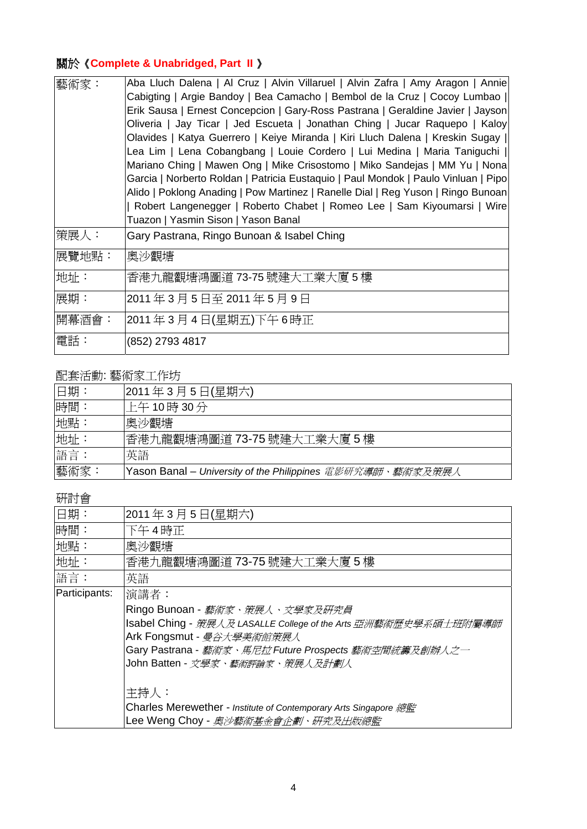# 關於《**Complete & Unabridged, Part II** 》

| 藝術家:  | Aba Lluch Dalena   Al Cruz   Alvin Villaruel   Alvin Zafra   Amy Aragon   Annie    |
|-------|------------------------------------------------------------------------------------|
|       | Cabigting   Argie Bandoy   Bea Camacho   Bembol de la Cruz   Cocoy Lumbao          |
|       | Erik Sausa   Ernest Concepcion   Gary-Ross Pastrana   Geraldine Javier   Jayson    |
|       | Oliveria   Jay Ticar   Jed Escueta   Jonathan Ching   Jucar Raquepo   Kaloy        |
|       | Olavides   Katya Guerrero   Keiye Miranda   Kiri Lluch Dalena   Kreskin Sugay      |
|       | Lea Lim   Lena Cobangbang   Louie Cordero   Lui Medina   Maria Taniguchi           |
|       | Mariano Ching   Mawen Ong   Mike Crisostomo   Miko Sandejas   MM Yu   Nona         |
|       | Garcia   Norberto Roldan   Patricia Eustaquio   Paul Mondok   Paulo Vinluan   Pipo |
|       | Alido   Poklong Anading   Pow Martinez   Ranelle Dial   Reg Yuson   Ringo Bunoan   |
|       | Robert Langenegger   Roberto Chabet   Romeo Lee   Sam Kiyoumarsi   Wire            |
|       | Tuazon   Yasmin Sison   Yason Banal                                                |
| 策展人:  | Gary Pastrana, Ringo Bunoan & Isabel Ching                                         |
| 展覽地點: | 奧沙觀塘                                                                               |
| 地址:   | 香港九龍觀塘鴻圖道 73-75 號建大工業大廈 5 樓                                                        |
| 展期:   | 2011年3月5日至2011年5月9日                                                                |
| 開幕酒會: | 2011年3月4日(星期五)下午6時正                                                                |
| 電話:   | (852) 2793 4817                                                                    |

## 配套活動: 藝術家工作坊

| 旧期:  | 2011年3月5日(星期六)                                             |
|------|------------------------------------------------------------|
| 時間:  | 上午10時30分                                                   |
| 地點:  | 奧沙觀塘                                                       |
| 地址:  | 香港九龍觀塘鴻圖道 73-75 號建大工業大廈 5 樓                                |
| 語言:  | 英語                                                         |
| 藝術家: | Yason Banal – University of the Philippines 電影研究導師、藝術家及策展人 |

### 研討會

| 2011年3月5日(星期六)                                                         |
|------------------------------------------------------------------------|
| 下午4時正                                                                  |
| 奧沙觀塘                                                                   |
| 香港九龍觀塘鴻圖道 73-75 號建大工業大廈 5 樓                                            |
| 英語                                                                     |
| 演講者:                                                                   |
| Ringo Bunoan - 藝術家、策展人、文學家及研究員                                         |
| <b>Isabel Ching</b> - 策展人及 LASALLE College of the Arts 亞洲藝術歷史學系碩士班附屬導師 |
| Ark Fongsmut - 曼谷大學美術館策展人                                              |
| Gary Pastrana - 藝術家、馬尼拉 Future Prospects 藝術空間統籌及創辦人之一                  |
| John Batten - 文學家、藝術評論家、策展人及計劃人                                        |
|                                                                        |
| 主持人:                                                                   |
| Charles Merewether - Institute of Contemporary Arts Singapore 總監       |
| Lee Weng Choy - 奧沙藝術基金會企劃、研究及出版總監                                      |
|                                                                        |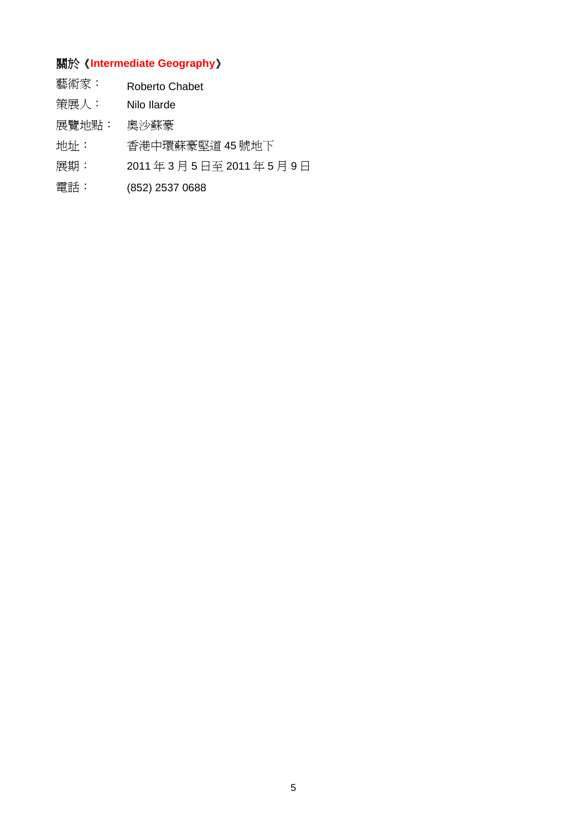# 關於《**Intermediate Geography**》

| 藝術家: | <b>Roberto Chabet</b> |  |
|------|-----------------------|--|
|      |                       |  |

- 策展人: Nilo Ilarde
- 展覽地點: 奧沙蘇豪
- 地址: 香港中環蘇豪堅道 45 號地下
- 展期: 2011 年 3 月 5 日至 2011 年 5 月 9 日
- 電話: (852) 2537 0688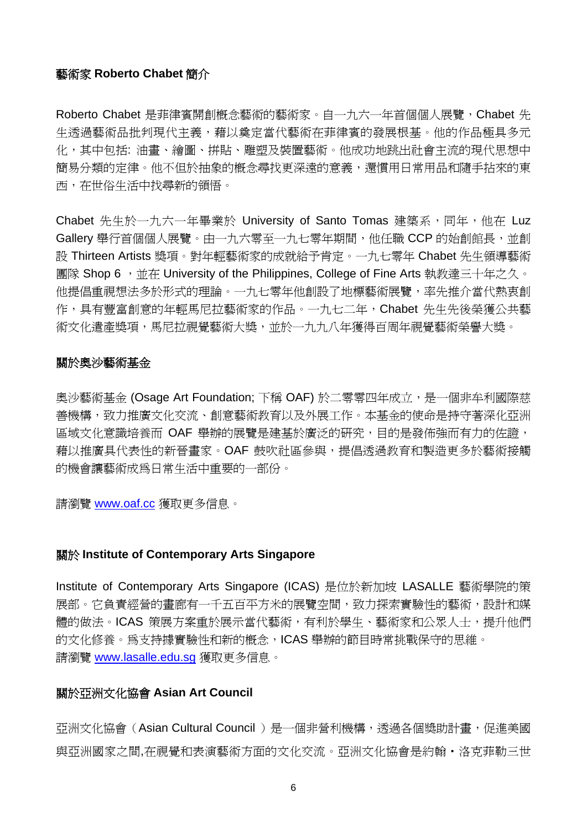#### 藝術家 **Roberto Chabet** 簡介

Roberto Chabet 是菲律賓開創概念藝術的藝術家。自一九六一年首個個人展覽, Chabet 先 生透過藝術品批判現代主義,藉以奠定當代藝術在菲律賓的發展根基。他的作品極具多元 化,其中包括: 油書、繪圖、拼貼、雕塑及裝置藝術。他成功地跳出社會主流的現代思想中 簡易分類的定律。他不但於抽象的概念尋找更深遠的意義,還慣用日常用品和隨手拈來的東 西,在世俗生活中找尋新的領悟。

Chabet 先生於一九六一年畢業於 University of Santo Tomas 建築系,同年,他在 Luz Gallery 舉行首個個人展覽。由一九六零至一九七零年期間, 他任職 CCP 的始創館長, 並創 設 Thirteen Artists 獎項。對年輕藝術家的成就給予肯定。一九七零年 Chabet 先生領導藝術 19 国際 Shop 6, 並在 University of the Philippines, College of Fine Arts 執教達三十年之久。 他提倡重視想法多於形式的理論。一九七零年他創設了地標藝術展覽,率先推介當代熱衷創 作,具有豐富創意的年輕馬尼拉藝術家的作品。一九七二年, Chabet 先生先後榮獲公共藝 術文化遣產獎項,馬尼拉視覺藝術大獎,並於一九九八年獲得百周年視覺藝術榮譽大獎。

#### 關於奧沙藝術基金

奧沙藝術基金 (Osage Art Foundation; 下稱 OAF) 於二零零四年成立,是一個非牟利國際慈 善機構,致力推廣文化交流、創意藝術教育以及外展工作。本基金的使命是持守著深化亞洲 區域文化意識培養而 OAF 舉辦的展覽是建基於廣泛的研究,目的是發佈強而有力的佐證, 藉以推廣具代表性的新晉畫家。OAF 鼓吹社區參與,提倡透過教育和製造更多於藝術接觸 的機會讓藝術成為日常生活中重要的一部份。

請瀏覽 [www.oaf.cc](http://www.oaf.cc/) 獲取更多信息。

#### 關於 **Institute of Contemporary Arts Singapore**

Institute of Contemporary Arts Singapore (ICAS) 是位於新加坡 LASALLE 藝術學院的策 展部。它負責經營的畫廊有一千五百平方米的展覽空間,致力探索實驗性的藝術,設計和媒 體的做法。ICAS 策展方案重於展示當代藝術,有利於學生、藝術家和公眾人士,提升他們 的文化修養。為支持據實驗性和新的概念,ICAS 舉辦的節目時常挑戰保守的思維。 請瀏覽 [www.lasalle.edu.sg](http://www.lasalle.edu.sg/) 獲取更多信息。

#### 關於亞洲文化協會 **Asian Art Council**

亞洲文化協會 (Asian Cultural Council) 是一個非營利機構,透過各個獎助計書,促進美國 與亞洲國家之間,在視覺和表演藝術方面的文化交流。亞洲文化協會是約翰·洛克菲勒三世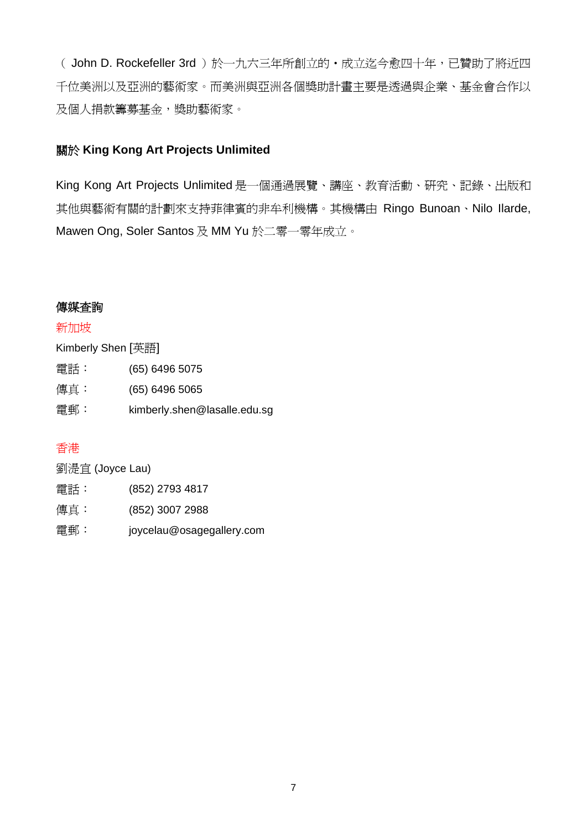(John D. Rockefeller 3rd)於一九六三年所創立的·成立迄今愈四十年,已贊助了將近四 千位美洲以及亞洲的藝術家。而美洲與亞洲各個獎助計畫主要是透過與企業、基金會合作以 及個人捐款籌募基金,獎助藝術家。

### 關於 **King Kong Art Projects Unlimited**

King Kong Art Projects Unlimited 是一個通過展覽、講座、教育活動、研究、記錄、出版和 其他與藝術有關的計劃來支持菲律賓的非牟利機構。其機構由 Ringo Bunoan、Nilo Ilarde, Mawen Ong, Soler Santos 及 MM Yu 於二零一零年成立。

#### 傳媒查詢

#### 新加坡

| Kimberly Shen [英語] |                              |
|--------------------|------------------------------|
| 電話:                | (65) 6496 5075               |
| 傳真:                | $(65)$ 6496 5065             |
| 電郵:                | kimberly.shen@lasalle.edu.sg |

# 香港

| 劉湜宜 (Joyce Lau) |                           |
|-----------------|---------------------------|
| 電話:             | (852) 2793 4817           |
| 傳真:             | (852) 3007 2988           |
| 雷郵:             | joycelau@osagegallery.com |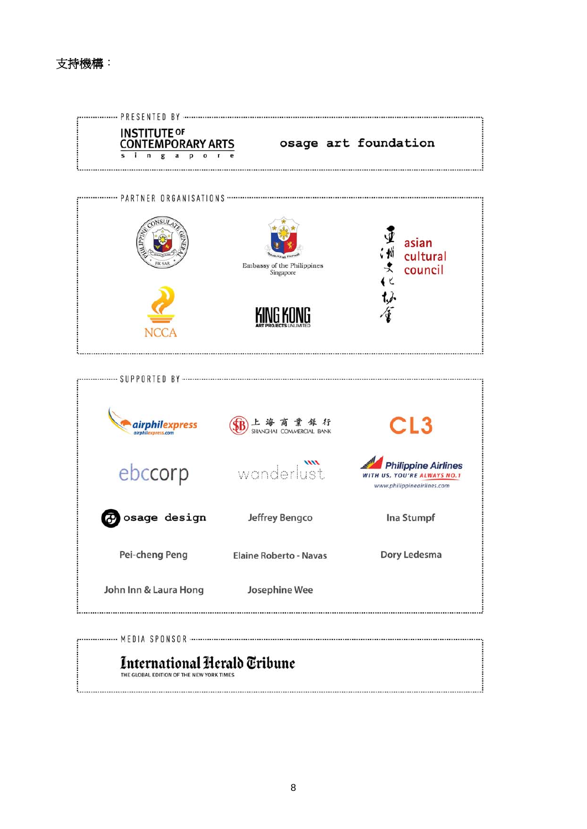

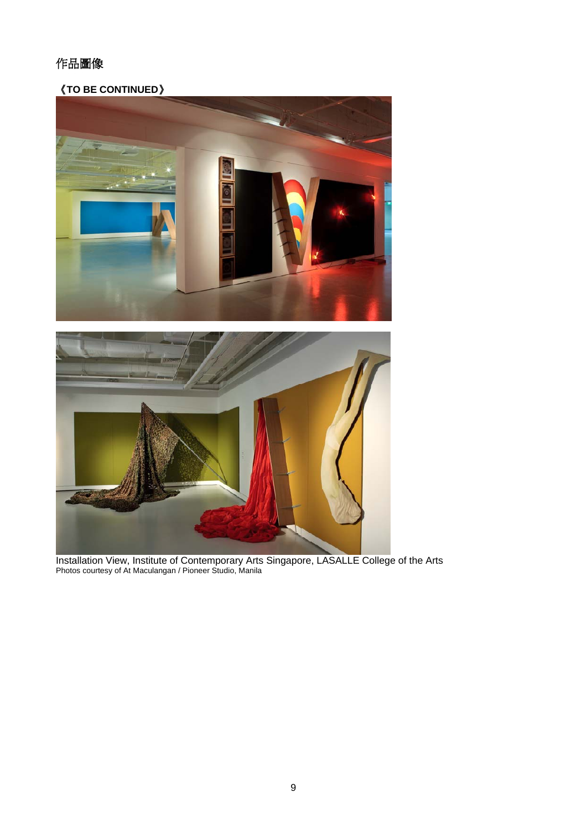# 作品圖像

《**TO BE CONTINUED**》



Installation View, Institute of Contemporary Arts Singapore, LASALLE College of the Arts Photos courtesy of At Maculangan / Pioneer Studio, Manila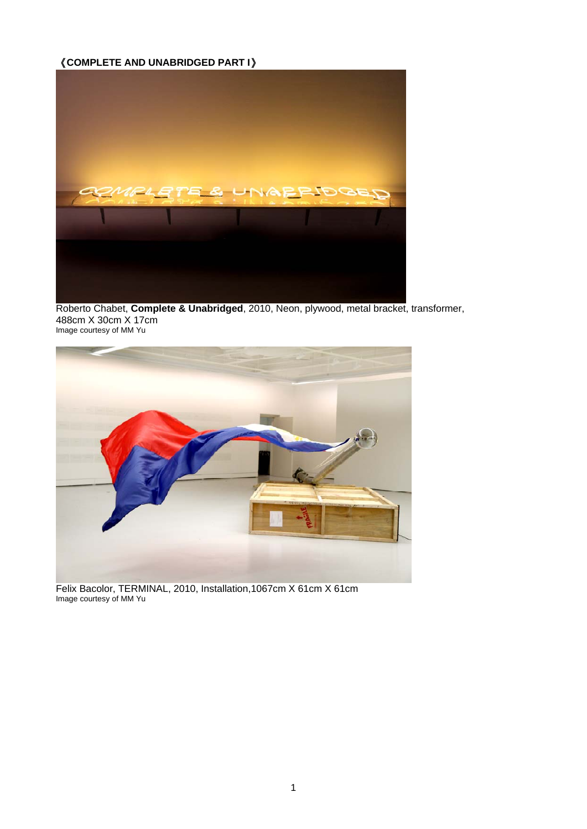# 《**COMPLETE AND UNABRIDGED PART I**》



Roberto Chabet, **Complete & Unabridged**, 2010, Neon, plywood, metal bracket, transformer, 488cm X 30cm X 17cm Image courtesy of MM Yu



Felix Bacolor, TERMINAL, 2010, Installation,1067cm X 61cm X 61cm Image courtesy of MM Yu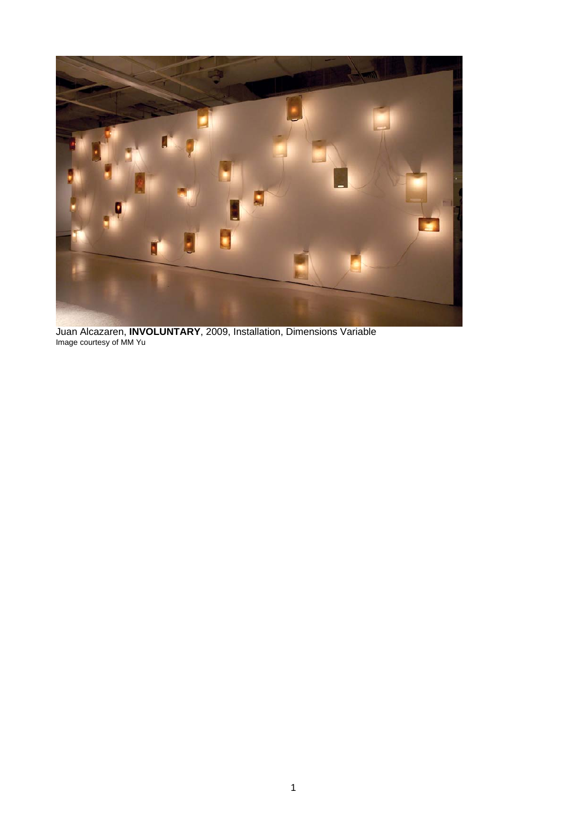

Juan Alcazaren, **INVOLUNTARY**, 2009, Installation, Dimensions Variable Image courtesy of MM Yu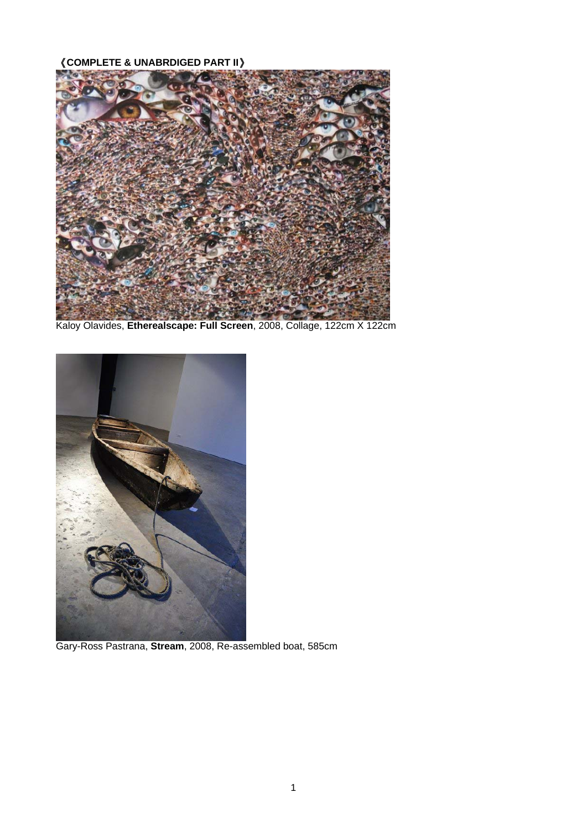# 《**COMPLETE & UNABRDIGED PART II**》



Kaloy Olavides, **Etherealscape: Full Screen**, 2008, Collage, 122cm X 122cm



Gary-Ross Pastrana, **Stream**, 2008, Re-assembled boat, 585cm